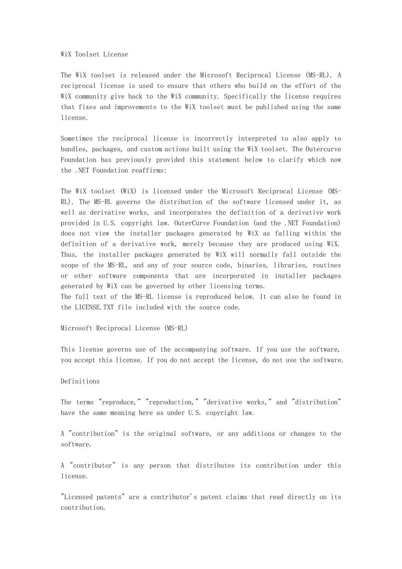## WiX Toolset License

The WiX toolset is released under the Microsoft Reciprocal License (MS-RL). A reciprocal license is used to ensure that others who build on the effort of the WiX community give back to the WiX community. Specifically the license requires that fixes and improvements to the WiX toolset must be published using the same license.

Sometimes the reciprocal license is incorrectly interpreted to also apply to bundles, packages, and custom actions built using the WiX toolset. The Outercurve Foundation has previously provided this statement below to clarify which now the .NET Foundation reaffirms:

The WiX toolset (WiX) is licensed under the Microsoft Reciprocal License (MS-RL). The MS-RL governs the distribution of the software licensed under it, as well as derivative works, and incorporates the definition of a derivative work provided in U.S. copyright law. OuterCurve Foundation (and the .NET Foundation) does not view the installer packages generated by WiX as falling within the definition of a derivative work, merely because they are produced using WiX. Thus, the installer packages generated by WiX will normally fall outside the scope of the MS-RL, and any of your source code, binaries, libraries, routines or other software components that are incorporated in installer packages generated by WiX can be governed by other licensing terms.

The full text of the MS-RL license is reproduced below. It can also be found in the LICENSE.TXT file included with the source code.

Microsoft Reciprocal License (MS-RL)

This license governs use of the accompanying software. If you use the software, you accept this license. If you do not accept the license, do not use the software.

## Definitions

The terms "reproduce," "reproduction," "derivative works," and "distribution" have the same meaning here as under U.S. copyright law.

A "contribution" is the original software, or any additions or changes to the software.

A "contributor" is any person that distributes its contribution under this license.

"Licensed patents" are a contributor's patent claims that read directly on its contribution.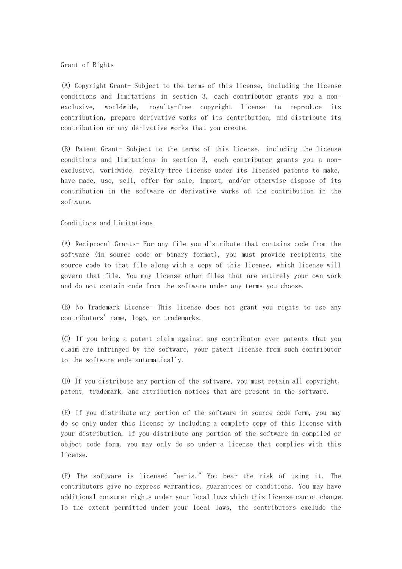## Grant of Rights

(A) Copyright Grant- Subject to the terms of this license, including the license conditions and limitations in section 3, each contributor grants you a nonexclusive, worldwide, royalty-free copyright license to reproduce its contribution, prepare derivative works of its contribution, and distribute its contribution or any derivative works that you create.

(B) Patent Grant- Subject to the terms of this license, including the license conditions and limitations in section 3, each contributor grants you a nonexclusive, worldwide, royalty-free license under its licensed patents to make, have made, use, sell, offer for sale, import, and/or otherwise dispose of its contribution in the software or derivative works of the contribution in the software.

## Conditions and Limitations

(A) Reciprocal Grants- For any file you distribute that contains code from the software (in source code or binary format), you must provide recipients the source code to that file along with a copy of this license, which license will govern that file. You may license other files that are entirely your own work and do not contain code from the software under any terms you choose.

(B) No Trademark License- This license does not grant you rights to use any contributors' name, logo, or trademarks.

(C) If you bring a patent claim against any contributor over patents that you claim are infringed by the software, your patent license from such contributor to the software ends automatically.

(D) If you distribute any portion of the software, you must retain all copyright, patent, trademark, and attribution notices that are present in the software.

(E) If you distribute any portion of the software in source code form, you may do so only under this license by including a complete copy of this license with your distribution. If you distribute any portion of the software in compiled or object code form, you may only do so under a license that complies with this license.

(F) The software is licensed "as-is." You bear the risk of using it. The contributors give no express warranties, guarantees or conditions. You may have additional consumer rights under your local laws which this license cannot change. To the extent permitted under your local laws, the contributors exclude the